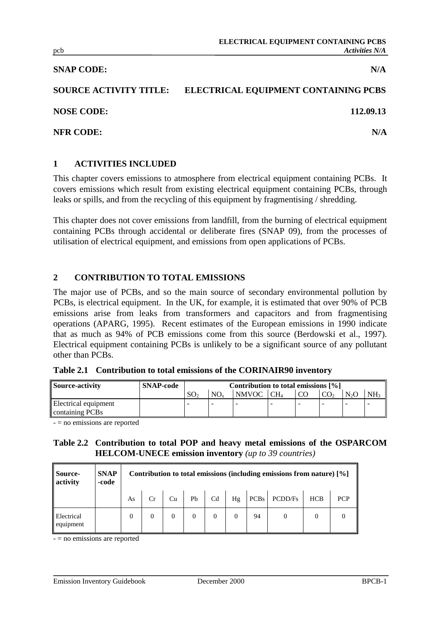#### **SNAP CODE:** N/A

# **SOURCE ACTIVITY TITLE: ELECTRICAL EQUIPMENT CONTAINING PCBS**

**NOSE CODE: 112.09.13**

**NFR CODE:** N/A

#### **1 ACTIVITIES INCLUDED**

This chapter covers emissions to atmosphere from electrical equipment containing PCBs. It covers emissions which result from existing electrical equipment containing PCBs, through leaks or spills, and from the recycling of this equipment by fragmentising / shredding.

This chapter does not cover emissions from landfill, from the burning of electrical equipment containing PCBs through accidental or deliberate fires (SNAP 09), from the processes of utilisation of electrical equipment, and emissions from open applications of PCBs.

#### **2 CONTRIBUTION TO TOTAL EMISSIONS**

The major use of PCBs, and so the main source of secondary environmental pollution by PCBs, is electrical equipment. In the UK, for example, it is estimated that over 90% of PCB emissions arise from leaks from transformers and capacitors and from fragmentising operations (APARG, 1995). Recent estimates of the European emissions in 1990 indicate that as much as 94% of PCB emissions come from this source (Berdowski et al., 1997). Electrical equipment containing PCBs is unlikely to be a significant source of any pollutant other than PCBs.

|  | Table 2.1 Contribution to total emissions of the CORINAIR90 inventory |  |  |  |  |  |  |  |
|--|-----------------------------------------------------------------------|--|--|--|--|--|--|--|
|--|-----------------------------------------------------------------------|--|--|--|--|--|--|--|

| Source-activity      | <b>SNAP-code</b> | Contribution to total emissions $[\%]$ |                 |                       |  |    |  |                  |                 |
|----------------------|------------------|----------------------------------------|-----------------|-----------------------|--|----|--|------------------|-----------------|
|                      |                  | SO.                                    | NO <sub>v</sub> | NMVOC CH <sub>4</sub> |  | CO |  | N <sub>2</sub> C | NH <sub>3</sub> |
| Electrical equipment |                  |                                        |                 |                       |  |    |  |                  |                 |
| containing PCBs      |                  |                                        |                 |                       |  |    |  |                  |                 |

- = no emissions are reported

#### **Table 2.2 Contribution to total POP and heavy metal emissions of the OSPARCOM HELCOM-UNECE emission inventory** *(up to 39 countries)*

| Source-<br>activity            | <b>SNAP</b><br>-code |    | Contribution to total emissions (including emissions from nature) [%] |    |  |  |  |    |                                                               |            |            |
|--------------------------------|----------------------|----|-----------------------------------------------------------------------|----|--|--|--|----|---------------------------------------------------------------|------------|------------|
|                                |                      | As |                                                                       | Cu |  |  |  |    | $\vert$ Pb $\vert$ Cd $\vert$ Hg $\vert$ PCBs $\vert$ PCDD/Fs | <b>HCB</b> | <b>PCP</b> |
| <b>Electrical</b><br>equipment |                      |    |                                                                       |    |  |  |  | 94 |                                                               |            |            |

- = no emissions are reported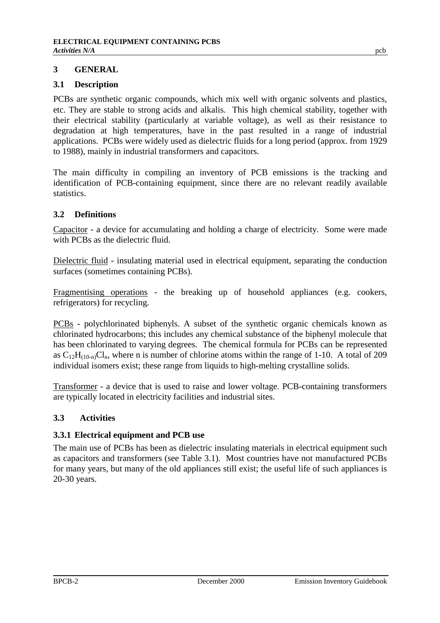## **3 GENERAL**

## **3.1 Description**

PCBs are synthetic organic compounds, which mix well with organic solvents and plastics, etc. They are stable to strong acids and alkalis. This high chemical stability, together with their electrical stability (particularly at variable voltage), as well as their resistance to degradation at high temperatures, have in the past resulted in a range of industrial applications. PCBs were widely used as dielectric fluids for a long period (approx. from 1929 to 1988), mainly in industrial transformers and capacitors.

The main difficulty in compiling an inventory of PCB emissions is the tracking and identification of PCB-containing equipment, since there are no relevant readily available statistics.

## **3.2 Definitions**

Capacitor - a device for accumulating and holding a charge of electricity. Some were made with PCBs as the dielectric fluid.

Dielectric fluid - insulating material used in electrical equipment, separating the conduction surfaces (sometimes containing PCBs).

Fragmentising operations - the breaking up of household appliances (e.g. cookers, refrigerators) for recycling.

PCBs - polychlorinated biphenyls. A subset of the synthetic organic chemicals known as chlorinated hydrocarbons; this includes any chemical substance of the biphenyl molecule that has been chlorinated to varying degrees. The chemical formula for PCBs can be represented as  $C_{12}H_{(10-n)}Cl_n$ , where n is number of chlorine atoms within the range of 1-10. A total of 209 individual isomers exist; these range from liquids to high-melting crystalline solids.

Transformer - a device that is used to raise and lower voltage. PCB-containing transformers are typically located in electricity facilities and industrial sites.

## **3.3 Activities**

## **3.3.1 Electrical equipment and PCB use**

The main use of PCBs has been as dielectric insulating materials in electrical equipment such as capacitors and transformers (see Table 3.1). Most countries have not manufactured PCBs for many years, but many of the old appliances still exist; the useful life of such appliances is 20-30 years.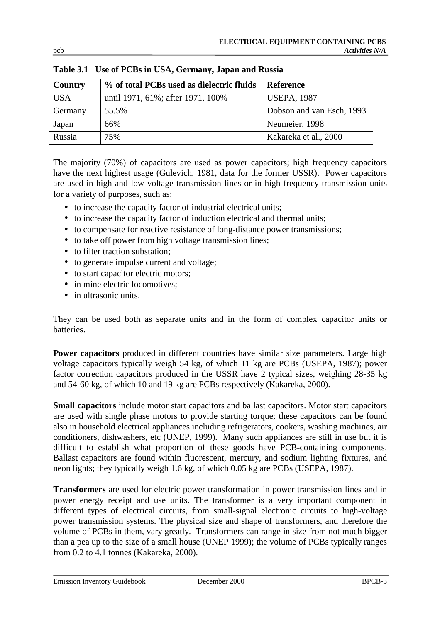| <b>Country</b> | % of total PCBs used as dielectric fluids | <b>Reference</b>          |
|----------------|-------------------------------------------|---------------------------|
| <b>USA</b>     | until 1971, 61%; after 1971, 100%         | <b>USEPA, 1987</b>        |
| Germany        | 55.5%                                     | Dobson and van Esch, 1993 |
| Japan          | 66%                                       | Neumeier, 1998            |
| Russia         | 75%                                       | Kakareka et al., 2000     |

**Table 3.1 Use of PCBs in USA, Germany, Japan and Russia**

The majority (70%) of capacitors are used as power capacitors; high frequency capacitors have the next highest usage (Gulevich, 1981, data for the former USSR). Power capacitors are used in high and low voltage transmission lines or in high frequency transmission units for a variety of purposes, such as:

- to increase the capacity factor of industrial electrical units;
- to increase the capacity factor of induction electrical and thermal units;
- to compensate for reactive resistance of long-distance power transmissions;
- to take off power from high voltage transmission lines;
- to filter traction substation:
- to generate impulse current and voltage;
- to start capacitor electric motors;
- in mine electric locomotives:
- in ultrasonic units.

They can be used both as separate units and in the form of complex capacitor units or batteries.

Power capacitors produced in different countries have similar size parameters. Large high voltage capacitors typically weigh 54 kg, of which 11 kg are PCBs (USEPA, 1987); power factor correction capacitors produced in the USSR have 2 typical sizes, weighing 28-35 kg and 54-60 kg, of which 10 and 19 kg are PCBs respectively (Kakareka, 2000).

**Small capacitors** include motor start capacitors and ballast capacitors. Motor start capacitors are used with single phase motors to provide starting torque; these capacitors can be found also in household electrical appliances including refrigerators, cookers, washing machines, air conditioners, dishwashers, etc (UNEP, 1999). Many such appliances are still in use but it is difficult to establish what proportion of these goods have PCB-containing components. Ballast capacitors are found within fluorescent, mercury, and sodium lighting fixtures, and neon lights; they typically weigh 1.6 kg, of which 0.05 kg are PCBs (USEPA, 1987).

**Transformers** are used for electric power transformation in power transmission lines and in power energy receipt and use units. The transformer is a very important component in different types of electrical circuits, from small-signal electronic circuits to high-voltage power transmission systems. The physical size and shape of transformers, and therefore the volume of PCBs in them, vary greatly. Transformers can range in size from not much bigger than a pea up to the size of a small house (UNEP 1999); the volume of PCBs typically ranges from 0.2 to 4.1 tonnes (Kakareka, 2000).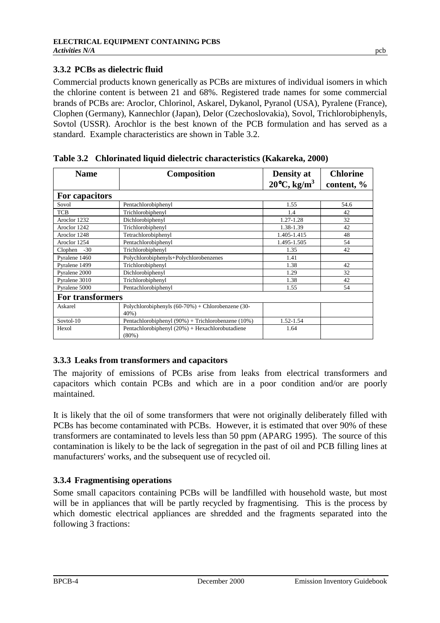## **3.3.2 PCBs as dielectric fluid**

Commercial products known generically as PCBs are mixtures of individual isomers in which the chlorine content is between 21 and 68%. Registered trade names for some commercial brands of PCBs are: Aroclor, Chlorinol, Askarel, Dykanol, Pyranol (USA), Pyralene (France), Clophen (Germany), Kannechlor (Japan), Delor (Czechoslovakia), Sovol, Trichlorobiphenyls, Sovtol (USSR). Arochlor is the best known of the PCB formulation and has served as a standard. Example characteristics are shown in Table 3.2.

| <b>Name</b>             | <b>Composition</b>                                              | <b>Density</b> at<br>$20^{\circ}$ C, kg/m <sup>3</sup> | <b>Chlorine</b><br>content, % |  |  |  |  |
|-------------------------|-----------------------------------------------------------------|--------------------------------------------------------|-------------------------------|--|--|--|--|
| For capacitors          |                                                                 |                                                        |                               |  |  |  |  |
| Sovol                   | Pentachlorobiphenyl                                             | 1.55                                                   | 54.6                          |  |  |  |  |
| <b>TCB</b>              | Trichlorobiphenyl                                               | 1.4                                                    | 42                            |  |  |  |  |
| Aroclor 1232            | Dichlorobiphenyl                                                | 1.27-1.28                                              | 32                            |  |  |  |  |
| Aroclor 1242            | Trichlorobiphenyl                                               | 1.38-1.39                                              | 42                            |  |  |  |  |
| Aroclor 1248            | Tetrachlorobiphenyl                                             | 1.405-1.415                                            | 48                            |  |  |  |  |
| Aroclor 1254            | Pentachlorobiphenyl                                             | 1.495-1.505                                            | 54                            |  |  |  |  |
| Clophen<br>$-30$        | Trichlorobiphenyl                                               | 1.35                                                   | 42                            |  |  |  |  |
| Pyralene 1460           | Polychlorobiphenyls+Polychlorobenzenes                          | 1.41                                                   |                               |  |  |  |  |
| Pyralene 1499           | Trichlorobiphenyl                                               | 1.38                                                   | 42                            |  |  |  |  |
| Pyralene 2000           | Dichlorobiphenyl                                                | 1.29                                                   | 32                            |  |  |  |  |
| Pyralene 3010           | Trichlorobiphenyl                                               | 1.38                                                   | 42                            |  |  |  |  |
| Pyralene 5000           | Pentachlorobiphenyl                                             | 1.55                                                   | 54                            |  |  |  |  |
| <b>For transformers</b> |                                                                 |                                                        |                               |  |  |  |  |
| Askarel                 | Polychlorobiphenyls $(60-70%)$ + Chlorobenzene (30-<br>$40\%$ ) |                                                        |                               |  |  |  |  |
| Sovtol-10               | Pentachlorobiphenyl (90%) + Trichlorobenzene (10%)              | 1.52-1.54                                              |                               |  |  |  |  |
| Hexol                   | Pentachlorobiphenyl $(20%)$ + Hexachlorobutadiene<br>$(80\%)$   | 1.64                                                   |                               |  |  |  |  |

**Table 3.2 Chlorinated liquid dielectric characteristics (Kakareka, 2000)**

## **3.3.3 Leaks from transformers and capacitors**

The majority of emissions of PCBs arise from leaks from electrical transformers and capacitors which contain PCBs and which are in a poor condition and/or are poorly maintained.

It is likely that the oil of some transformers that were not originally deliberately filled with PCBs has become contaminated with PCBs. However, it is estimated that over 90% of these transformers are contaminated to levels less than 50 ppm (APARG 1995). The source of this contamination is likely to be the lack of segregation in the past of oil and PCB filling lines at manufacturers' works, and the subsequent use of recycled oil.

## **3.3.4 Fragmentising operations**

Some small capacitors containing PCBs will be landfilled with household waste, but most will be in appliances that will be partly recycled by fragmentising. This is the process by which domestic electrical appliances are shredded and the fragments separated into the following 3 fractions: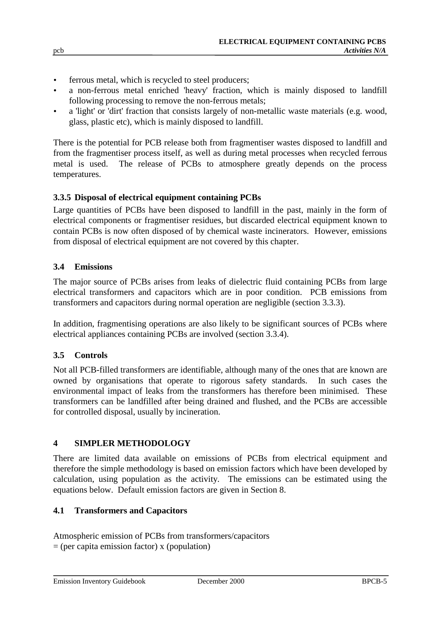- ferrous metal, which is recycled to steel producers;
- a non-ferrous metal enriched 'heavy' fraction, which is mainly disposed to landfill following processing to remove the non-ferrous metals;
- a 'light' or 'dirt' fraction that consists largely of non-metallic waste materials (e.g. wood, glass, plastic etc), which is mainly disposed to landfill.

There is the potential for PCB release both from fragmentiser wastes disposed to landfill and from the fragmentiser process itself, as well as during metal processes when recycled ferrous metal is used. The release of PCBs to atmosphere greatly depends on the process temperatures.

## **3.3.5 Disposal of electrical equipment containing PCBs**

Large quantities of PCBs have been disposed to landfill in the past, mainly in the form of electrical components or fragmentiser residues, but discarded electrical equipment known to contain PCBs is now often disposed of by chemical waste incinerators. However, emissions from disposal of electrical equipment are not covered by this chapter.

#### **3.4 Emissions**

The major source of PCBs arises from leaks of dielectric fluid containing PCBs from large electrical transformers and capacitors which are in poor condition. PCB emissions from transformers and capacitors during normal operation are negligible (section 3.3.3).

In addition, fragmentising operations are also likely to be significant sources of PCBs where electrical appliances containing PCBs are involved (section 3.3.4).

## **3.5 Controls**

Not all PCB-filled transformers are identifiable, although many of the ones that are known are owned by organisations that operate to rigorous safety standards. In such cases the environmental impact of leaks from the transformers has therefore been minimised. These transformers can be landfilled after being drained and flushed, and the PCBs are accessible for controlled disposal, usually by incineration.

## **4 SIMPLER METHODOLOGY**

There are limited data available on emissions of PCBs from electrical equipment and therefore the simple methodology is based on emission factors which have been developed by calculation, using population as the activity. The emissions can be estimated using the equations below. Default emission factors are given in Section 8.

#### **4.1 Transformers and Capacitors**

Atmospheric emission of PCBs from transformers/capacitors  $=$  (per capita emission factor) x (population)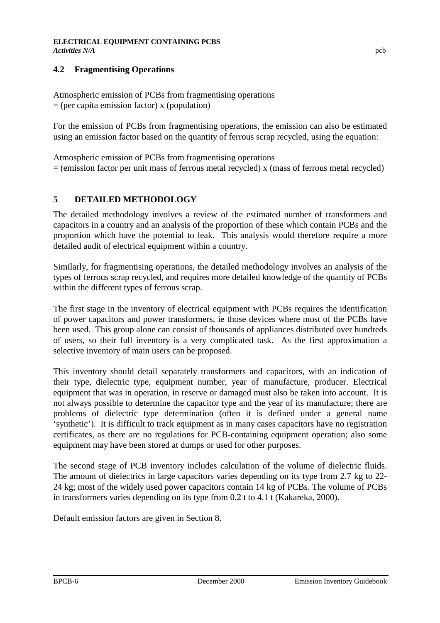## **4.2 Fragmentising Operations**

Atmospheric emission of PCBs from fragmentising operations  $=$  (per capita emission factor) x (population)

For the emission of PCBs from fragmentising operations, the emission can also be estimated using an emission factor based on the quantity of ferrous scrap recycled, using the equation:

Atmospheric emission of PCBs from fragmentising operations  $=$  (emission factor per unit mass of ferrous metal recycled) x (mass of ferrous metal recycled)

## **5 DETAILED METHODOLOGY**

The detailed methodology involves a review of the estimated number of transformers and capacitors in a country and an analysis of the proportion of these which contain PCBs and the proportion which have the potential to leak. This analysis would therefore require a more detailed audit of electrical equipment within a country.

Similarly, for fragmentising operations, the detailed methodology involves an analysis of the types of ferrous scrap recycled, and requires more detailed knowledge of the quantity of PCBs within the different types of ferrous scrap.

The first stage in the inventory of electrical equipment with PCBs requires the identification of power capacitors and power transformers, ie those devices where most of the PCBs have been used. This group alone can consist of thousands of appliances distributed over hundreds of users, so their full inventory is a very complicated task. As the first approximation a selective inventory of main users can be proposed.

This inventory should detail separately transformers and capacitors, with an indication of their type, dielectric type, equipment number, year of manufacture, producer. Electrical equipment that was in operation, in reserve or damaged must also be taken into account. It is not always possible to determine the capacitor type and the year of its manufacture; there are problems of dielectric type determination (often it is defined under a general name 'synthetic'). It is difficult to track equipment as in many cases capacitors have no registration certificates, as there are no regulations for PCB-containing equipment operation; also some equipment may have been stored at dumps or used for other purposes.

The second stage of PCB inventory includes calculation of the volume of dielectric fluids. The amount of dielectrics in large capacitors varies depending on its type from 2.7 kg to 22- 24 kg; most of the widely used power capacitors contain 14 kg of PCBs. The volume of PCBs in transformers varies depending on its type from 0.2 t to 4.1 t (Kakareka, 2000).

Default emission factors are given in Section 8.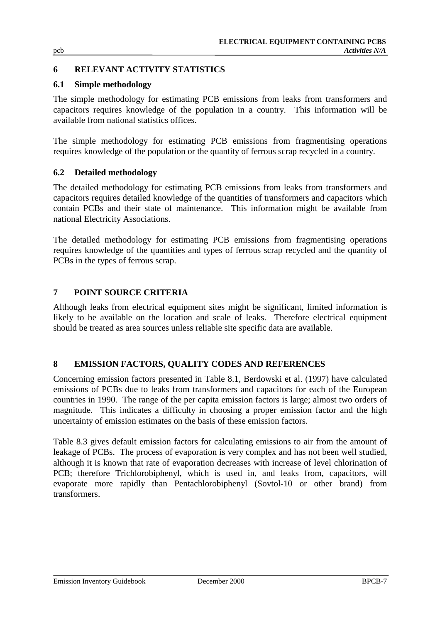## **6 RELEVANT ACTIVITY STATISTICS**

## **6.1 Simple methodology**

The simple methodology for estimating PCB emissions from leaks from transformers and capacitors requires knowledge of the population in a country. This information will be available from national statistics offices.

The simple methodology for estimating PCB emissions from fragmentising operations requires knowledge of the population or the quantity of ferrous scrap recycled in a country.

## **6.2 Detailed methodology**

The detailed methodology for estimating PCB emissions from leaks from transformers and capacitors requires detailed knowledge of the quantities of transformers and capacitors which contain PCBs and their state of maintenance. This information might be available from national Electricity Associations.

The detailed methodology for estimating PCB emissions from fragmentising operations requires knowledge of the quantities and types of ferrous scrap recycled and the quantity of PCBs in the types of ferrous scrap.

## **7 POINT SOURCE CRITERIA**

Although leaks from electrical equipment sites might be significant, limited information is likely to be available on the location and scale of leaks. Therefore electrical equipment should be treated as area sources unless reliable site specific data are available.

## **8 EMISSION FACTORS, QUALITY CODES AND REFERENCES**

Concerning emission factors presented in Table 8.1, Berdowski et al. (1997) have calculated emissions of PCBs due to leaks from transformers and capacitors for each of the European countries in 1990. The range of the per capita emission factors is large; almost two orders of magnitude. This indicates a difficulty in choosing a proper emission factor and the high uncertainty of emission estimates on the basis of these emission factors.

Table 8.3 gives default emission factors for calculating emissions to air from the amount of leakage of PCBs. The process of evaporation is very complex and has not been well studied, although it is known that rate of evaporation decreases with increase of level chlorination of PCB; therefore Trichlorobiphenyl, which is used in, and leaks from, capacitors, will evaporate more rapidly than Pentachlorobiphenyl (Sovtol-10 or other brand) from transformers.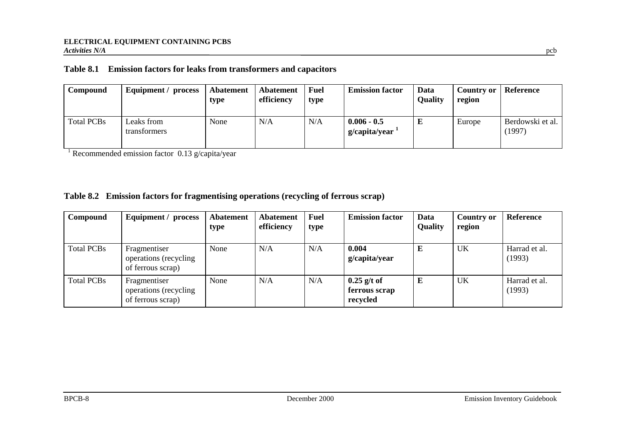## **Table 8.1 Emission factors for leaks from transformers and capacitors**

| Compound          | Equipment / process        | Abatement<br>type | Abatement<br>efficiency | <b>Fuel</b><br>type | <b>Emission factor</b>                 | Data<br><b>Quality</b> | Country or<br>region | Reference                 |
|-------------------|----------------------------|-------------------|-------------------------|---------------------|----------------------------------------|------------------------|----------------------|---------------------------|
| <b>Total PCBs</b> | Leaks from<br>transformers | None              | N/A                     | N/A                 | $0.006 - 0.5$<br>$g/c$ apita/year $^1$ | Ŀ                      | Europe               | Berdowski et al.<br>1997) |

<sup>1</sup> Recommended emission factor  $0.13$  g/capita/year

#### **Table 8.2 Emission factors for fragmentising operations (recycling of ferrous scrap)**

| Compound          | Equipment / process                                        | Abatement<br>type | Abatement<br>efficiency | <b>Fuel</b><br>type | <b>Emission factor</b>                     | Data<br><b>Quality</b> | <b>Country or</b><br>region | Reference               |
|-------------------|------------------------------------------------------------|-------------------|-------------------------|---------------------|--------------------------------------------|------------------------|-----------------------------|-------------------------|
| <b>Total PCBs</b> | Fragmentiser<br>operations (recycling<br>of ferrous scrap) | None              | N/A                     | N/A                 | 0.004<br>g/capita/year                     | E                      | UK                          | Harrad et al.<br>(1993) |
| <b>Total PCBs</b> | Fragmentiser<br>operations (recycling<br>of ferrous scrap) | None              | N/A                     | N/A                 | $0.25$ g/t of<br>ferrous scrap<br>recycled | E                      | UK                          | Harrad et al.<br>(1993) |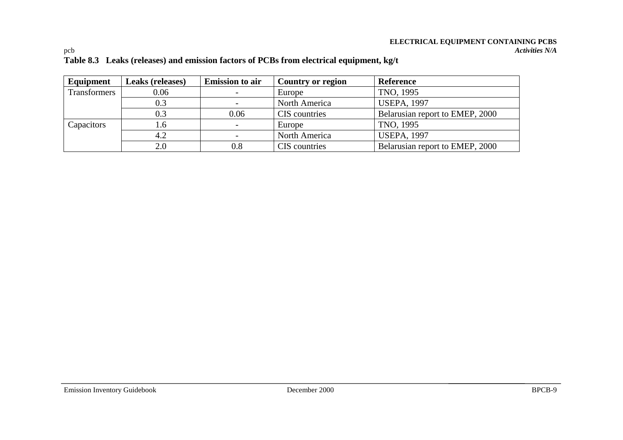# **ELECTRICAL EQUIPMENT CONTAINING PCBS**

#### pcb *Activities N/A* **Table 8.3 Leaks (releases) and emission factors of PCBs from electrical equipment, kg/t**

| Equipment    | Leaks (releases) | <b>Emission to air</b>   | Country or region | Reference                       |
|--------------|------------------|--------------------------|-------------------|---------------------------------|
| Transformers | 0.06             | $\overline{\phantom{a}}$ | Europe            | TNO, 1995                       |
|              | 0.3              |                          | North America     | <b>USEPA, 1997</b>              |
|              | 0.3              | 0.06                     | CIS countries     | Belarusian report to EMEP, 2000 |
| Capacitors   | . 6              | $\overline{\phantom{0}}$ | Europe            | TNO, 1995                       |
|              | 4.2              | $\overline{\phantom{a}}$ | North America     | <b>USEPA, 1997</b>              |
|              | 2.0              | 0.8                      | CIS countries     | Belarusian report to EMEP, 2000 |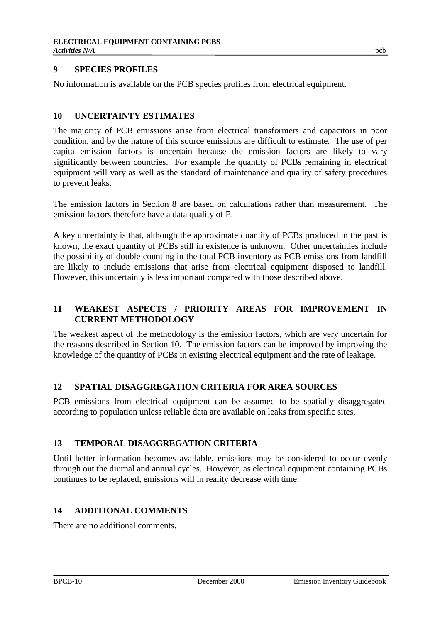## **9 SPECIES PROFILES**

No information is available on the PCB species profiles from electrical equipment.

#### **10 UNCERTAINTY ESTIMATES**

The majority of PCB emissions arise from electrical transformers and capacitors in poor condition, and by the nature of this source emissions are difficult to estimate. The use of per capita emission factors is uncertain because the emission factors are likely to vary significantly between countries. For example the quantity of PCBs remaining in electrical equipment will vary as well as the standard of maintenance and quality of safety procedures to prevent leaks.

The emission factors in Section 8 are based on calculations rather than measurement. The emission factors therefore have a data quality of E.

A key uncertainty is that, although the approximate quantity of PCBs produced in the past is known, the exact quantity of PCBs still in existence is unknown. Other uncertainties include the possibility of double counting in the total PCB inventory as PCB emissions from landfill are likely to include emissions that arise from electrical equipment disposed to landfill. However, this uncertainty is less important compared with those described above.

## **11 WEAKEST ASPECTS / PRIORITY AREAS FOR IMPROVEMENT IN CURRENT METHODOLOGY**

The weakest aspect of the methodology is the emission factors, which are very uncertain for the reasons described in Section 10. The emission factors can be improved by improving the knowledge of the quantity of PCBs in existing electrical equipment and the rate of leakage.

## **12 SPATIAL DISAGGREGATION CRITERIA FOR AREA SOURCES**

PCB emissions from electrical equipment can be assumed to be spatially disaggregated according to population unless reliable data are available on leaks from specific sites.

## **13 TEMPORAL DISAGGREGATION CRITERIA**

Until better information becomes available, emissions may be considered to occur evenly through out the diurnal and annual cycles. However, as electrical equipment containing PCBs continues to be replaced, emissions will in reality decrease with time.

## **14 ADDITIONAL COMMENTS**

There are no additional comments.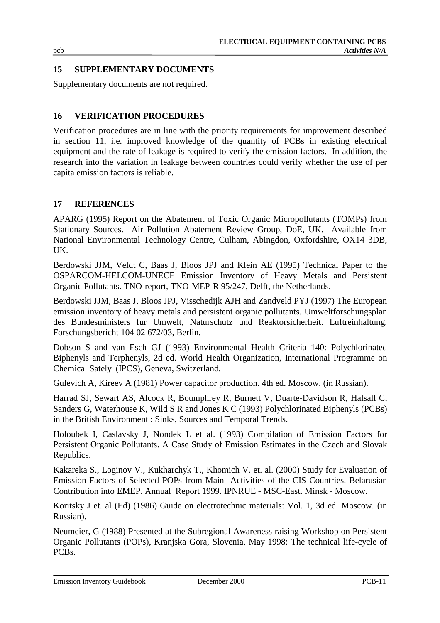## **15 SUPPLEMENTARY DOCUMENTS**

Supplementary documents are not required.

## **16 VERIFICATION PROCEDURES**

Verification procedures are in line with the priority requirements for improvement described in section 11, i.e. improved knowledge of the quantity of PCBs in existing electrical equipment and the rate of leakage is required to verify the emission factors. In addition, the research into the variation in leakage between countries could verify whether the use of per capita emission factors is reliable.

## **17 REFERENCES**

APARG (1995) Report on the Abatement of Toxic Organic Micropollutants (TOMPs) from Stationary Sources. Air Pollution Abatement Review Group, DoE, UK. Available from National Environmental Technology Centre, Culham, Abingdon, Oxfordshire, OX14 3DB, UK.

Berdowski JJM, Veldt C, Baas J, Bloos JPJ and Klein AE (1995) Technical Paper to the OSPARCOM-HELCOM-UNECE Emission Inventory of Heavy Metals and Persistent Organic Pollutants. TNO-report, TNO-MEP-R 95/247, Delft, the Netherlands.

Berdowski JJM, Baas J, Bloos JPJ, Visschedijk AJH and Zandveld PYJ (1997) The European emission inventory of heavy metals and persistent organic pollutants. Umweltforschungsplan des Bundesministers fur Umwelt, Naturschutz und Reaktorsicherheit. Luftreinhaltung. Forschungsbericht 104 02 672/03, Berlin.

Dobson S and van Esch GJ (1993) Environmental Health Criteria 140: Polychlorinated Biphenyls and Terphenyls, 2d ed. World Health Organization, International Programme on Chemical Sately (IPCS), Geneva, Switzerland.

Gulevich A, Kireev A (1981) Power capacitor production. 4th ed. Moscow. (in Russian).

Harrad SJ, Sewart AS, Alcock R, Boumphrey R, Burnett V, Duarte-Davidson R, Halsall C, Sanders G, Waterhouse K, Wild S R and Jones K C (1993) Polychlorinated Biphenyls (PCBs) in the British Environment : Sinks, Sources and Temporal Trends.

Holoubek I, Caslavsky J, Nondek L et al. (1993) Compilation of Emission Factors for Persistent Organic Pollutants. A Case Study of Emission Estimates in the Czech and Slovak Republics.

Kakareka S., Loginov V., Kukharchyk T., Khomich V. et. al. (2000) Study for Evaluation of Emission Factors of Selected POPs from Main Activities of the CIS Countries. Belarusian Contribution into EMEP. Annual Report 1999. IPNRUE - MSC-East. Minsk - Moscow.

Koritsky J et. al (Ed) (1986) Guide on electrotechnic materials: Vol. 1, 3d ed. Moscow. (in Russian).

Neumeier, G (1988) Presented at the Subregional Awareness raising Workshop on Persistent Organic Pollutants (POPs), Kranjska Gora, Slovenia, May 1998: The technical life-cycle of PCBs.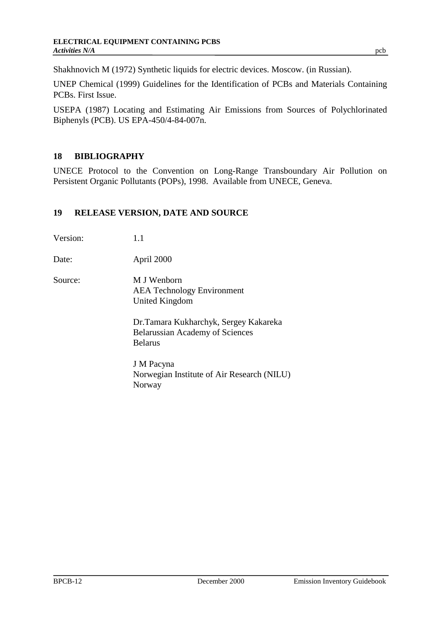Shakhnovich M (1972) Synthetic liquids for electric devices. Moscow. (in Russian).

UNEP Chemical (1999) Guidelines for the Identification of PCBs and Materials Containing PCBs. First Issue.

USEPA (1987) Locating and Estimating Air Emissions from Sources of Polychlorinated Biphenyls (PCB). US EPA-450/4-84-007n.

## **18 BIBLIOGRAPHY**

UNECE Protocol to the Convention on Long-Range Transboundary Air Pollution on Persistent Organic Pollutants (POPs), 1998. Available from UNECE, Geneva.

#### **19 RELEASE VERSION, DATE AND SOURCE**

| Version: | 1.1                                                                                                |
|----------|----------------------------------------------------------------------------------------------------|
| Date:    | April 2000                                                                                         |
| Source:  | M J Wenborn<br><b>AEA</b> Technology Environment<br>United Kingdom                                 |
|          | Dr. Tamara Kukharchyk, Sergey Kakareka<br><b>Belarussian Academy of Sciences</b><br><b>Belarus</b> |
|          | J M Pacyna<br>Norwegian Institute of Air Research (NILU)<br>Norway                                 |